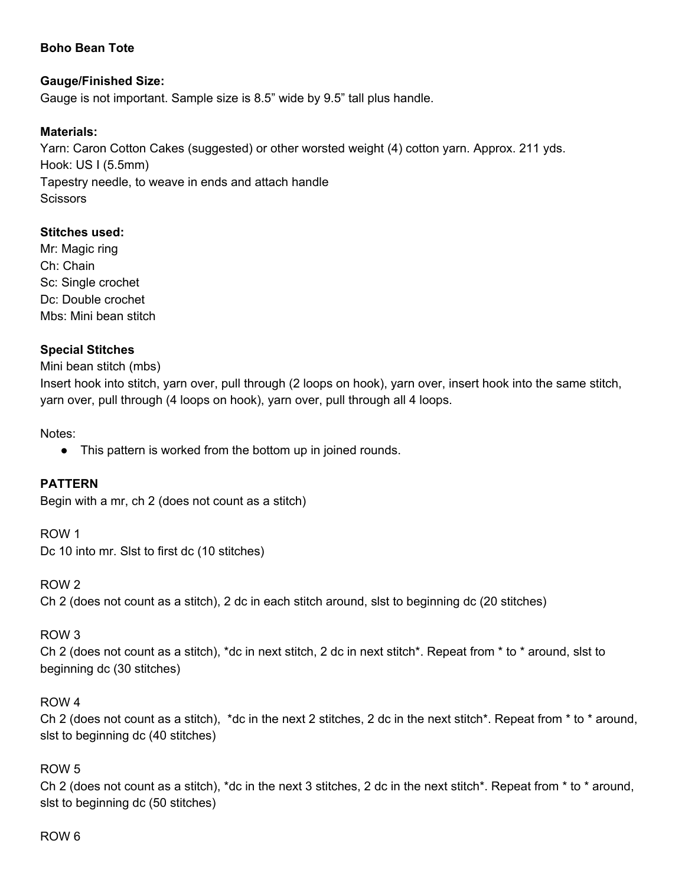# **Boho Bean Tote**

## **Gauge/Finished Size:**

Gauge is not important. Sample size is 8.5" wide by 9.5" tall plus handle.

## **Materials:**

Yarn: Caron Cotton Cakes (suggested) or other worsted weight (4) cotton yarn. Approx. 211 yds. Hook: US I (5.5mm) Tapestry needle, to weave in ends and attach handle **Scissors** 

## **Stitches used:**

Mr: Magic ring Ch: Chain Sc: Single crochet Dc: Double crochet Mbs: Mini bean stitch

### **Special Stitches**

### Mini bean stitch (mbs)

Insert hook into stitch, yarn over, pull through (2 loops on hook), yarn over, insert hook into the same stitch, yarn over, pull through (4 loops on hook), yarn over, pull through all 4 loops.

Notes:

• This pattern is worked from the bottom up in joined rounds.

# **PATTERN**

Begin with a mr, ch 2 (does not count as a stitch)

ROW 1 Dc 10 into mr. Slst to first dc (10 stitches)

ROW 2 Ch 2 (does not count as a stitch), 2 dc in each stitch around, slst to beginning dc (20 stitches)

### ROW 3

Ch 2 (does not count as a stitch), \*dc in next stitch, 2 dc in next stitch\*. Repeat from \* to \* around, slst to beginning dc (30 stitches)

### ROW 4

Ch 2 (does not count as a stitch), \*dc in the next 2 stitches, 2 dc in the next stitch\*. Repeat from \* to \* around, slst to beginning dc (40 stitches)

# ROW 5

Ch 2 (does not count as a stitch), \*dc in the next 3 stitches, 2 dc in the next stitch\*. Repeat from \* to \* around, slst to beginning dc (50 stitches)

### ROW 6